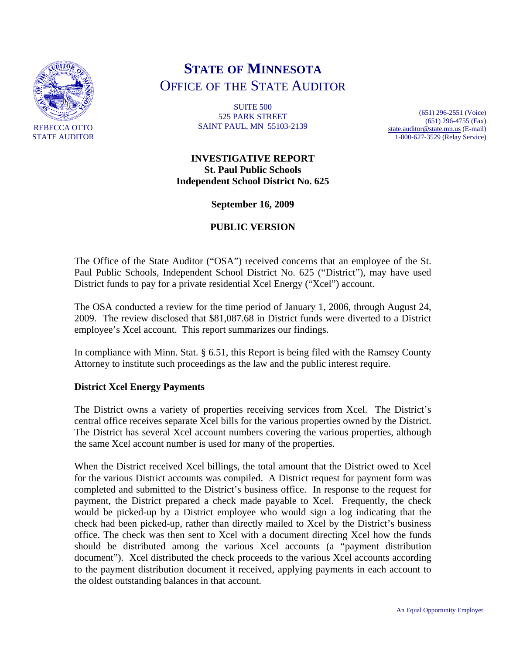

# **STATE OF MINNESOTA** OFFICE OF THE STATE AUDITOR

SUITE 500 525 PARK STREET SAINT PAUL, MN 55103-2139

(651) 296-2551 (Voice) (651) 296-4755 (Fax) [state.auditor@state.mn.us](mailto:state.auditor@state.mn.us) (E-mail) 1-800-627-3529 (Relay Service)

**INVESTIGATIVE REPORT St. Paul Public Schools Independent School District No. 625** 

**September 16, 2009** 

## **PUBLIC VERSION**

The Office of the State Auditor ("OSA") received concerns that an employee of the St. Paul Public Schools, Independent School District No. 625 ("District"), may have used District funds to pay for a private residential Xcel Energy ("Xcel") account.

The OSA conducted a review for the time period of January 1, 2006, through August 24, 2009. The review disclosed that \$81,087.68 in District funds were diverted to a District employee's Xcel account. This report summarizes our findings.

In compliance with Minn. Stat. § 6.51, this Report is being filed with the Ramsey County Attorney to institute such proceedings as the law and the public interest require.

#### **District Xcel Energy Payments**

The District owns a variety of properties receiving services from Xcel. The District's central office receives separate Xcel bills for the various properties owned by the District. The District has several Xcel account numbers covering the various properties, although the same Xcel account number is used for many of the properties.

When the District received Xcel billings, the total amount that the District owed to Xcel for the various District accounts was compiled. A District request for payment form was completed and submitted to the District's business office. In response to the request for payment, the District prepared a check made payable to Xcel. Frequently, the check would be picked-up by a District employee who would sign a log indicating that the check had been picked-up, rather than directly mailed to Xcel by the District's business office. The check was then sent to Xcel with a document directing Xcel how the funds should be distributed among the various Xcel accounts (a "payment distribution document"). Xcel distributed the check proceeds to the various Xcel accounts according to the payment distribution document it received, applying payments in each account to the oldest outstanding balances in that account.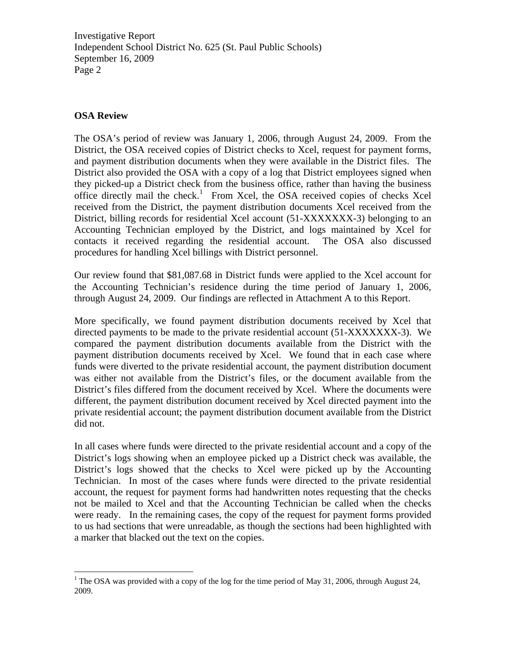Investigative Report Independent School District No. 625 (St. Paul Public Schools) September 16, 2009 Page 2

### **OSA Review**

The OSA's period of review was January 1, 2006, through August 24, 2009. From the District, the OSA received copies of District checks to Xcel, request for payment forms, and payment distribution documents when they were available in the District files. The District also provided the OSA with a copy of a log that District employees signed when they picked-up a District check from the business office, rather than having the business office directly mail the check.<sup>[1](#page-1-0)</sup> From Xcel, the OSA received copies of checks Xcel received from the District, the payment distribution documents Xcel received from the District, billing records for residential Xcel account (51-XXXXXXX-3) belonging to an Accounting Technician employed by the District, and logs maintained by Xcel for contacts it received regarding the residential account. The OSA also discussed procedures for handling Xcel billings with District personnel.

Our review found that \$81,087.68 in District funds were applied to the Xcel account for the Accounting Technician's residence during the time period of January 1, 2006, through August 24, 2009. Our findings are reflected in Attachment A to this Report.

More specifically, we found payment distribution documents received by Xcel that directed payments to be made to the private residential account (51-XXXXXXX-3). We compared the payment distribution documents available from the District with the payment distribution documents received by Xcel. We found that in each case where funds were diverted to the private residential account, the payment distribution document was either not available from the District's files, or the document available from the District's files differed from the document received by Xcel. Where the documents were different, the payment distribution document received by Xcel directed payment into the private residential account; the payment distribution document available from the District did not.

In all cases where funds were directed to the private residential account and a copy of the District's logs showing when an employee picked up a District check was available, the District's logs showed that the checks to Xcel were picked up by the Accounting Technician. In most of the cases where funds were directed to the private residential account, the request for payment forms had handwritten notes requesting that the checks not be mailed to Xcel and that the Accounting Technician be called when the checks were ready. In the remaining cases, the copy of the request for payment forms provided to us had sections that were unreadable, as though the sections had been highlighted with a marker that blacked out the text on the copies.

<span id="page-1-0"></span><sup>&</sup>lt;sup>1</sup> The OSA was provided with a copy of the log for the time period of May 31, 2006, through August 24, 2009.